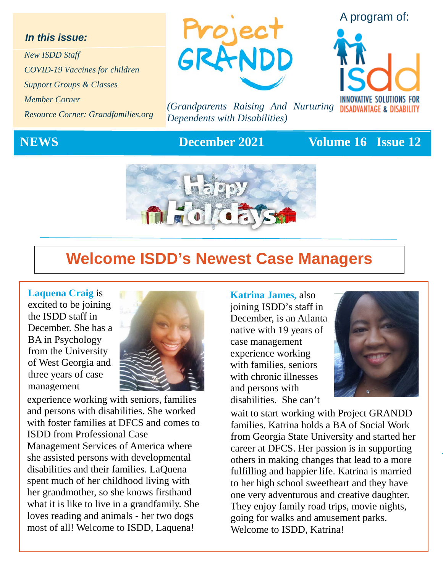### *In this issue:*

*New ISDD Staff COVID-19 Vaccines for children Support Groups & Classes Member Corner Resource Corner: Grandfamilies.org*



*(Grandparents Raising And Nurturing Dependents with Disabilities)*

## **NEWS** December 2021 Volume 16 Issue 12



## **Welcome ISDD's Newest Case Managers**

### **Laquena Craig** is

excited to be joining the ISDD staff in December. She has a BA in Psychology from the University of West Georgia and three years of case management



 experience working with seniors, families and persons with disabilities. She worked with foster families at DFCS and comes to ISDD from Professional Case Management Services of America where she assisted persons with developmental disabilities and their families. LaQuena spent much of her childhood living with her grandmother, so she knows firsthand what it is like to live in a grandfamily. She loves reading and animals - her two dogs most of all! Welcome to ISDD, Laquena!

**Katrina James,** also joining ISDD's staff in December, is an Atlanta native with 19 years of case management experience working with families, seniors with chronic illnesses and persons with disabilities. She can't



wait to start working with Project GRANDD families. Katrina holds a BA of Social Work from Georgia State University and started her career at DFCS. Her passion is in supporting others in making changes that lead to a more fulfilling and happier life. Katrina is married to her high school sweetheart and they have one very adventurous and creative daughter. They enjoy family road trips, movie nights, going for walks and amusement parks. Welcome to ISDD, Katrina!



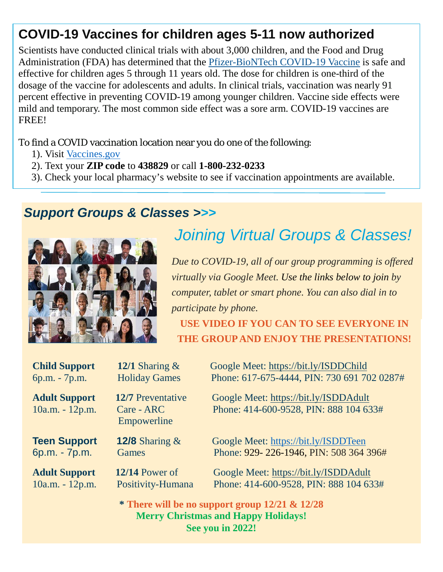## **COVID-19 Vaccines for children ages 5-11 now authorized**

Scientists have conducted clinical trials with about 3,000 children, and the Food and Drug Administration (FDA) has determined that the [Pfizer-BioNTech COVID-19 Vaccine](https://www.cdc.gov/coronavirus/2019-ncov/vaccines/different-vaccines/Pfizer-BioNTech.html) is safe and effective for children ages 5 through 11 years old. The dose for children is one-third of the dosage of the vaccine for adolescents and adults. In clinical trials, vaccination was nearly 91 percent effective in preventing COVID-19 among younger children. Vaccine side effects were mild and temporary. The most common side effect was a sore arm. COVID-19 vaccines are FREE!

To find a COVID vaccination location near you do one of the following:

- 1). Visit [Vaccines.gov](https://www.vaccines.gov/)
- 2). Text your **ZIP code** to **438829** or call **1-800-232-0233**
- 3). Check your local pharmacy's website to see if vaccination appointments are available.

## *Support Groups & Classes >>>*



# *Joining Virtual Groups & Classes!*

*Due to COVID-19, all of our group programming is offered virtually via Google Meet. Use the links below to join by computer, tablet or smart phone. You can also dial in to participate by phone.* 

**USE VIDEO IF YOU CAN TO SEE EVERYONE IN THE GROUP AND ENJOY THE PRESENTATIONS!**

| <b>Child Support</b>                      | 12/1 Sharing $\&$                              | Google Meet: https://bit.ly/ISDDChild                                                                                |
|-------------------------------------------|------------------------------------------------|----------------------------------------------------------------------------------------------------------------------|
| 6p.m. - 7p.m.                             | <b>Holiday Games</b>                           | Phone: 617-675-4444, PIN: 730 691 702 0287#                                                                          |
| <b>Adult Support</b><br>$10a.m. - 12p.m.$ | 12/7 Preventative<br>Care - ARC<br>Empowerline | Google Meet: https://bit.ly/ISDDAdult<br>Phone: 414-600-9528, PIN: 888 104 633#                                      |
| <b>Teen Support</b>                       | <b>12/8</b> Sharing $\&$                       | Google Meet: https://bit.ly/ISDDTeen                                                                                 |
| 6p.m. - 7p.m.                             | Games                                          | Phone: 929-226-1946, PIN: 508 364 396#                                                                               |
| <b>Adult Support</b>                      | $12/14$ Power of                               | Google Meet: https://bit.ly/ISDDAdult                                                                                |
| $10a.m. - 12p.m.$                         | Positivity-Humana                              | Phone: 414-600-9528, PIN: 888 104 633#                                                                               |
|                                           |                                                | * There will be no support group $12/21$ & $12/28$<br><b>Merry Christmas and Happy Holidays!</b><br>See you in 2022! |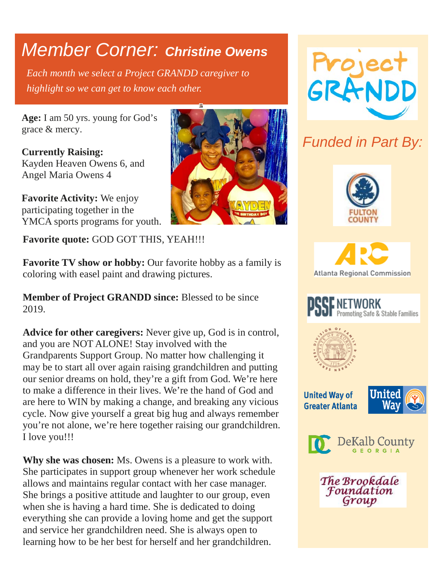# *Member Corner: Christine Owens*

*Each month we select a Project GRANDD caregiver to highlight so we can get to know each other.* 

**Age:** I am 50 yrs. young for God's grace & mercy.

**Currently Raising:**  Kayden Heaven Owens 6, and Angel Maria Owens 4

**Favorite Activity:** We enjoy participating together in the YMCA sports programs for youth.

**Favorite quote:** GOD GOT THIS, YEAH!!!

**Favorite TV show or hobby:** Our favorite hobby as a family is coloring with easel paint and drawing pictures.

**Member of Project GRANDD since:** Blessed to be since 2019.

**Advice for other caregivers:** Never give up, God is in control, and you are NOT ALONE! Stay involved with the Grandparents Support Group. No matter how challenging it may be to start all over again raising grandchildren and putting our senior dreams on hold, they're a gift from God. We're here to make a difference in their lives. We're the hand of God and are here to WIN by making a change, and breaking any vicious cycle. Now give yourself a great big hug and always remember you're not alone, we're here together raising our grandchildren. I love you!!!

**Why she was chosen:** Ms. Owens is a pleasure to work with. She participates in support group whenever her work schedule allows and maintains regular contact with her case manager. She brings a positive attitude and laughter to our group, even when she is having a hard time. She is dedicated to doing everything she can provide a loving home and get the support and service her grandchildren need. She is always open to learning how to be her best for herself and her grandchildren.





## *Funded in Part By:*









**United Way of Greater Atlanta** 





The Brookdale Foundation Group